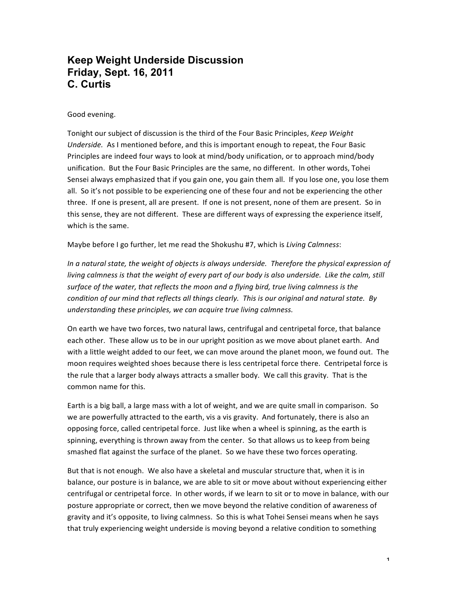# **Keep Weight Underside Discussion Friday, Sept. 16, 2011 C. Curtis**

# Good evening.

Tonight our subject of discussion is the third of the Four Basic Principles, *Keep Weight Underside.* As I mentioned before, and this is important enough to repeat, the Four Basic Principles are indeed four ways to look at mind/body unification, or to approach mind/body unification. But the Four Basic Principles are the same, no different. In other words, Tohei Sensei always emphasized that if you gain one, you gain them all. If you lose one, you lose them all. So it's not possible to be experiencing one of these four and not be experiencing the other three. If one is present, all are present. If one is not present, none of them are present. So in this sense, they are not different. These are different ways of expressing the experience itself, which is the same.

Maybe before I go further, let me read the Shokushu #7, which is *Living Calmness*:

In a natural state, the weight of objects is always underside. Therefore the physical expression of *living* calmness is that the weight of every part of our body is also underside. Like the calm, still surface of the water, that reflects the moon and a flying bird, true living calmness is the *condition* of our mind that reflects all things clearly. This is our original and natural state. By *understanding these principles, we can acquire true living calmness.* 

On earth we have two forces, two natural laws, centrifugal and centripetal force, that balance each other. These allow us to be in our upright position as we move about planet earth. And with a little weight added to our feet, we can move around the planet moon, we found out. The moon requires weighted shoes because there is less centripetal force there. Centripetal force is the rule that a larger body always attracts a smaller body. We call this gravity. That is the common name for this.

Earth is a big ball, a large mass with a lot of weight, and we are quite small in comparison. So we are powerfully attracted to the earth, vis a vis gravity. And fortunately, there is also an opposing force, called centripetal force. Just like when a wheel is spinning, as the earth is spinning, everything is thrown away from the center. So that allows us to keep from being smashed flat against the surface of the planet. So we have these two forces operating.

But that is not enough. We also have a skeletal and muscular structure that, when it is in balance, our posture is in balance, we are able to sit or move about without experiencing either centrifugal or centripetal force. In other words, if we learn to sit or to move in balance, with our posture appropriate or correct, then we move beyond the relative condition of awareness of gravity and it's opposite, to living calmness. So this is what Tohei Sensei means when he says that truly experiencing weight underside is moving beyond a relative condition to something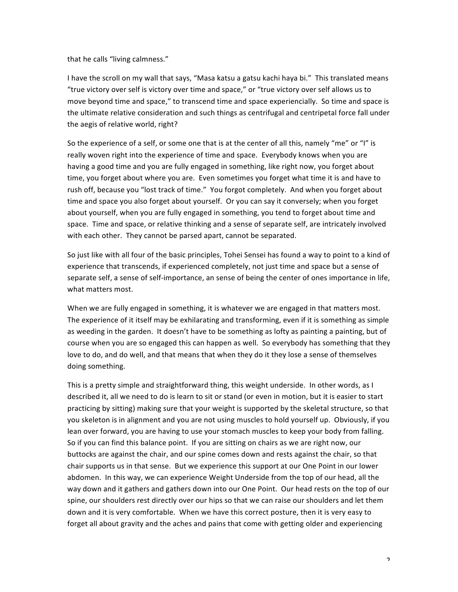that he calls "living calmness."

I have the scroll on my wall that says, "Masa katsu a gatsu kachi haya bi." This translated means "true victory over self is victory over time and space," or "true victory over self allows us to move beyond time and space," to transcend time and space experiencially. So time and space is the ultimate relative consideration and such things as centrifugal and centripetal force fall under the aegis of relative world, right?

So the experience of a self, or some one that is at the center of all this, namely "me" or "I" is really woven right into the experience of time and space. Everybody knows when you are having a good time and you are fully engaged in something, like right now, you forget about time, you forget about where you are. Even sometimes you forget what time it is and have to rush off, because you "lost track of time." You forgot completely. And when you forget about time and space you also forget about yourself. Or you can say it conversely; when you forget about yourself, when you are fully engaged in something, you tend to forget about time and space. Time and space, or relative thinking and a sense of separate self, are intricately involved with each other. They cannot be parsed apart, cannot be separated.

So just like with all four of the basic principles, Tohei Sensei has found a way to point to a kind of experience that transcends, if experienced completely, not just time and space but a sense of separate self, a sense of self-importance, an sense of being the center of ones importance in life, what matters most.

When we are fully engaged in something, it is whatever we are engaged in that matters most. The experience of it itself may be exhilarating and transforming, even if it is something as simple as weeding in the garden. It doesn't have to be something as lofty as painting a painting, but of course when you are so engaged this can happen as well. So everybody has something that they love to do, and do well, and that means that when they do it they lose a sense of themselves doing something.

This is a pretty simple and straightforward thing, this weight underside. In other words, as I described it, all we need to do is learn to sit or stand (or even in motion, but it is easier to start practicing by sitting) making sure that your weight is supported by the skeletal structure, so that you skeleton is in alignment and you are not using muscles to hold yourself up. Obviously, if you lean over forward, you are having to use your stomach muscles to keep your body from falling. So if you can find this balance point. If you are sitting on chairs as we are right now, our buttocks are against the chair, and our spine comes down and rests against the chair, so that chair supports us in that sense. But we experience this support at our One Point in our lower abdomen. In this way, we can experience Weight Underside from the top of our head, all the way down and it gathers and gathers down into our One Point. Our head rests on the top of our spine, our shoulders rest directly over our hips so that we can raise our shoulders and let them down and it is very comfortable. When we have this correct posture, then it is very easy to forget all about gravity and the aches and pains that come with getting older and experiencing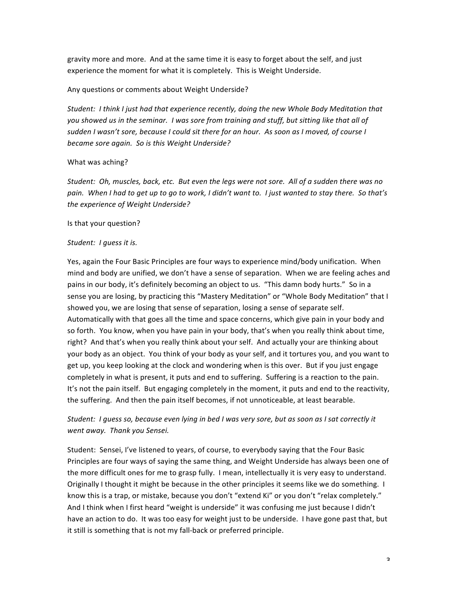gravity more and more. And at the same time it is easy to forget about the self, and just experience the moment for what it is completely. This is Weight Underside.

# Any questions or comments about Weight Underside?

Student: I think I just had that experience recently, doing the new Whole Body Meditation that you showed us in the seminar. I was sore from training and stuff, but sitting like that all of sudden I wasn't sore, because I could sit there for an hour. As soon as I moved, of course I became sore again. So is this Weight Underside?

# What was aching?

Student: Oh, muscles, back, etc. But even the legs were not sore. All of a sudden there was no *pain.* When I had to get up to go to work, I didn't want to. I just wanted to stay there. So that's the experience of Weight Underside?

#### Is that your question?

# Student: I quess it is.

Yes, again the Four Basic Principles are four ways to experience mind/body unification. When mind and body are unified, we don't have a sense of separation. When we are feeling aches and pains in our body, it's definitely becoming an object to us. "This damn body hurts." So in a sense you are losing, by practicing this "Mastery Meditation" or "Whole Body Meditation" that I showed you, we are losing that sense of separation, losing a sense of separate self. Automatically with that goes all the time and space concerns, which give pain in your body and so forth. You know, when you have pain in your body, that's when you really think about time, right? And that's when you really think about your self. And actually your are thinking about your body as an object. You think of your body as your self, and it tortures you, and you want to get up, you keep looking at the clock and wondering when is this over. But if you just engage completely in what is present, it puts and end to suffering. Suffering is a reaction to the pain. It's not the pain itself. But engaging completely in the moment, it puts and end to the reactivity, the suffering. And then the pain itself becomes, if not unnoticeable, at least bearable.

# Student: I guess so, because even lying in bed I was very sore, but as soon as I sat correctly it *went away. Thank you Sensei.*

Student: Sensei, I've listened to years, of course, to everybody saying that the Four Basic Principles are four ways of saying the same thing, and Weight Underside has always been one of the more difficult ones for me to grasp fully. I mean, intellectually it is very easy to understand. Originally I thought it might be because in the other principles it seems like we do something. I know this is a trap, or mistake, because you don't "extend Ki" or you don't "relax completely." And I think when I first heard "weight is underside" it was confusing me just because I didn't have an action to do. It was too easy for weight just to be underside. I have gone past that, but it still is something that is not my fall-back or preferred principle.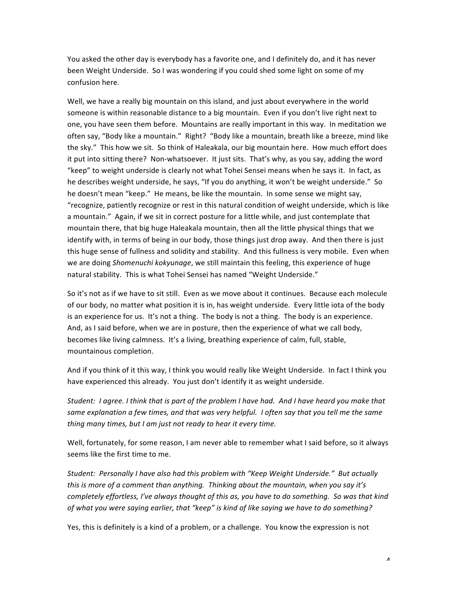You asked the other day is everybody has a favorite one, and I definitely do, and it has never been Weight Underside. So I was wondering if you could shed some light on some of my confusion here.

Well, we have a really big mountain on this island, and just about everywhere in the world someone is within reasonable distance to a big mountain. Even if you don't live right next to one, you have seen them before. Mountains are really important in this way. In meditation we often say, "Body like a mountain." Right? "Body like a mountain, breath like a breeze, mind like the sky." This how we sit. So think of Haleakala, our big mountain here. How much effort does it put into sitting there? Non-whatsoever. It just sits. That's why, as you say, adding the word "keep" to weight underside is clearly not what Tohei Sensei means when he says it. In fact, as he describes weight underside, he says, "If you do anything, it won't be weight underside." So he doesn't mean "keep." He means, be like the mountain. In some sense we might say, "recognize, patiently recognize or rest in this natural condition of weight underside, which is like a mountain." Again, if we sit in correct posture for a little while, and just contemplate that mountain there, that big huge Haleakala mountain, then all the little physical things that we identify with, in terms of being in our body, those things just drop away. And then there is just this huge sense of fullness and solidity and stability. And this fullness is very mobile. Even when we are doing *Shomenuchi kokyunage*, we still maintain this feeling, this experience of huge natural stability. This is what Tohei Sensei has named "Weight Underside."

So it's not as if we have to sit still. Even as we move about it continues. Because each molecule of our body, no matter what position it is in, has weight underside. Every little iota of the body is an experience for us. It's not a thing. The body is not a thing. The body is an experience. And, as I said before, when we are in posture, then the experience of what we call body, becomes like living calmness. It's a living, breathing experience of calm, full, stable, mountainous completion.

And if you think of it this way, I think you would really like Weight Underside. In fact I think you have experienced this already. You just don't identify it as weight underside.

*Student: I agree. I think that is part of the problem I have had. And I have heard you make that* same explanation a few times, and that was very helpful. I often say that you tell me the same *thing many times, but I am just not ready to hear it every time.* 

Well, fortunately, for some reason, I am never able to remember what I said before, so it always seems like the first time to me.

Student: Personally I have also had this problem with "Keep Weight Underside." But actually *this* is more of a comment than anything. Thinking about the mountain, when you say it's *completely effortless, I've always thought of this as, you have to do something. So was that kind* of what you were saying earlier, that "keep" is kind of like saying we have to do something?

Yes, this is definitely is a kind of a problem, or a challenge. You know the expression is not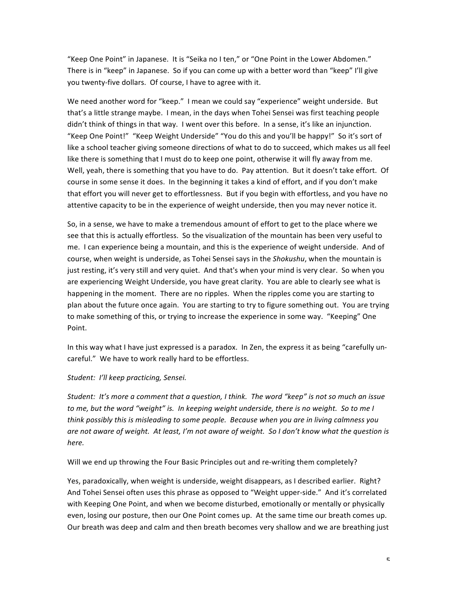"Keep One Point" in Japanese. It is "Seika no I ten," or "One Point in the Lower Abdomen." There is in "keep" in Japanese. So if you can come up with a better word than "keep" I'll give you twenty-five dollars. Of course, I have to agree with it.

We need another word for "keep." I mean we could say "experience" weight underside. But that's a little strange maybe. I mean, in the days when Tohei Sensei was first teaching people didn't think of things in that way. I went over this before. In a sense, it's like an injunction. "Keep One Point!" "Keep Weight Underside" "You do this and you'll be happy!" So it's sort of like a school teacher giving someone directions of what to do to succeed, which makes us all feel like there is something that I must do to keep one point, otherwise it will fly away from me. Well, yeah, there is something that you have to do. Pay attention. But it doesn't take effort. Of course in some sense it does. In the beginning it takes a kind of effort, and if you don't make that effort you will never get to effortlessness. But if you begin with effortless, and you have no attentive capacity to be in the experience of weight underside, then you may never notice it.

So, in a sense, we have to make a tremendous amount of effort to get to the place where we see that this is actually effortless. So the visualization of the mountain has been very useful to me. I can experience being a mountain, and this is the experience of weight underside. And of course, when weight is underside, as Tohei Sensei says in the *Shokushu*, when the mountain is just resting, it's very still and very quiet. And that's when your mind is very clear. So when you are experiencing Weight Underside, you have great clarity. You are able to clearly see what is happening in the moment. There are no ripples. When the ripples come you are starting to plan about the future once again. You are starting to try to figure something out. You are trying to make something of this, or trying to increase the experience in some way. "Keeping" One Point.

In this way what I have just expressed is a paradox. In Zen, the express it as being "carefully uncareful." We have to work really hard to be effortless.

#### *Student: I'll keep practicing, Sensei.*

*Student: It's more a comment that a question, I think. The word "keep" is not so much an issue to* me, but the word "weight" is. In keeping weight underside, there is no weight. So to me I think possibly this is misleading to some people. Because when you are in living calmness you are not aware of weight. At least, I'm not aware of weight. So I don't know what the question is *here.*

Will we end up throwing the Four Basic Principles out and re-writing them completely?

Yes, paradoxically, when weight is underside, weight disappears, as I described earlier. Right? And Tohei Sensei often uses this phrase as opposed to "Weight upper-side." And it's correlated with Keeping One Point, and when we become disturbed, emotionally or mentally or physically even, losing our posture, then our One Point comes up. At the same time our breath comes up. Our breath was deep and calm and then breath becomes very shallow and we are breathing just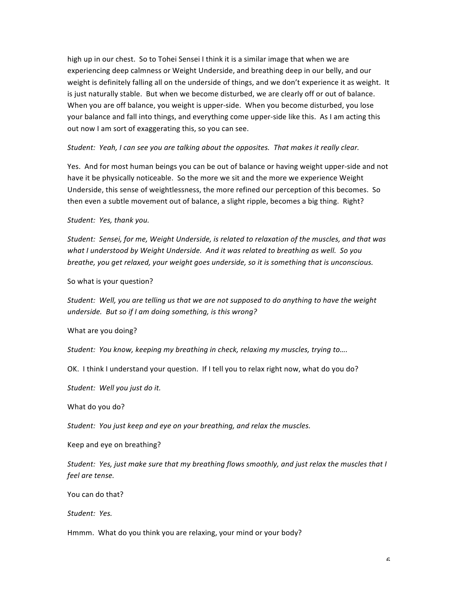high up in our chest. So to Tohei Sensei I think it is a similar image that when we are experiencing deep calmness or Weight Underside, and breathing deep in our belly, and our weight is definitely falling all on the underside of things, and we don't experience it as weight. It is just naturally stable. But when we become disturbed, we are clearly off or out of balance. When you are off balance, you weight is upper-side. When you become disturbed, you lose your balance and fall into things, and everything come upper-side like this. As I am acting this out now I am sort of exaggerating this, so you can see.

Student: Yeah, I can see you are talking about the opposites. That makes it really clear.

Yes. And for most human beings you can be out of balance or having weight upper-side and not have it be physically noticeable. So the more we sit and the more we experience Weight Underside, this sense of weightlessness, the more refined our perception of this becomes. So then even a subtle movement out of balance, a slight ripple, becomes a big thing. Right?

#### Student: Yes, thank you.

Student: Sensei, for me, Weight Underside, is related to relaxation of the muscles, and that was what I understood by Weight Underside. And it was related to breathing as well. So you *breathe, you get relaxed, your weight goes underside, so it is something that is unconscious.* 

So what is your question?

Student: Well, you are telling us that we are not supposed to do anything to have the weight *underside.* But so if I am doing something, is this wrong?

What are you doing?

*Student: You know, keeping my breathing in check, relaxing my muscles, trying to....* 

OK. I think I understand your question. If I tell you to relax right now, what do you do?

Student: Well you just do it.

What do you do?

*Student: You just keep and eye on your breathing, and relax the muscles.* 

Keep and eye on breathing?

*Student: Yes, just make sure that my breathing flows smoothly, and just relax the muscles that I feel are tense.*

You can do that?

Student: Yes.

Hmmm. What do you think you are relaxing, your mind or your body?

 $\epsilon$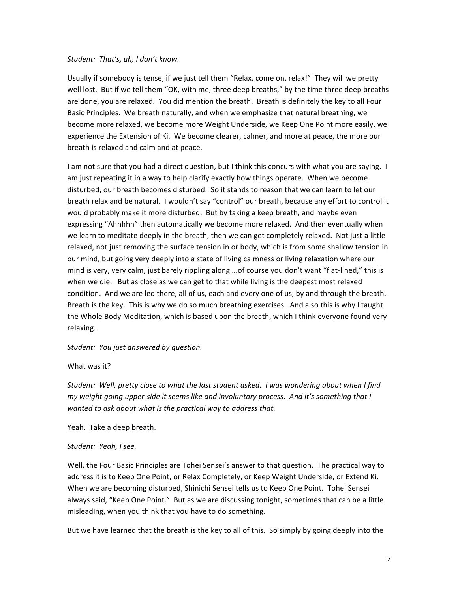#### *Student: That's, uh, I don't know.*

Usually if somebody is tense, if we just tell them "Relax, come on, relax!" They will we pretty well lost. But if we tell them "OK, with me, three deep breaths," by the time three deep breaths are done, you are relaxed. You did mention the breath. Breath is definitely the key to all Four Basic Principles. We breath naturally, and when we emphasize that natural breathing, we become more relaxed, we become more Weight Underside, we Keep One Point more easily, we experience the Extension of Ki. We become clearer, calmer, and more at peace, the more our breath is relaxed and calm and at peace.

I am not sure that you had a direct question, but I think this concurs with what you are saying. I am just repeating it in a way to help clarify exactly how things operate. When we become disturbed, our breath becomes disturbed. So it stands to reason that we can learn to let our breath relax and be natural. I wouldn't say "control" our breath, because any effort to control it would probably make it more disturbed. But by taking a keep breath, and maybe even expressing "Ahhhhh" then automatically we become more relaxed. And then eventually when we learn to meditate deeply in the breath, then we can get completely relaxed. Not just a little relaxed, not just removing the surface tension in or body, which is from some shallow tension in our mind, but going very deeply into a state of living calmness or living relaxation where our mind is very, very calm, just barely rippling along....of course you don't want "flat-lined," this is when we die. But as close as we can get to that while living is the deepest most relaxed condition. And we are led there, all of us, each and every one of us, by and through the breath. Breath is the key. This is why we do so much breathing exercises. And also this is why I taught the Whole Body Meditation, which is based upon the breath, which I think everyone found very relaxing.

Student: You just answered by question.

#### What was it?

Student: Well, pretty close to what the last student asked. I was wondering about when I find *my* weight going upper-side it seems like and involuntary process. And it's something that I *wanted to ask about what is the practical way to address that.* 

Yeah. Take a deep breath.

#### *Student: Yeah, I see.*

Well, the Four Basic Principles are Tohei Sensei's answer to that question. The practical way to address it is to Keep One Point, or Relax Completely, or Keep Weight Underside, or Extend Ki. When we are becoming disturbed, Shinichi Sensei tells us to Keep One Point. Tohei Sensei always said, "Keep One Point." But as we are discussing tonight, sometimes that can be a little misleading, when you think that you have to do something.

But we have learned that the breath is the key to all of this. So simply by going deeply into the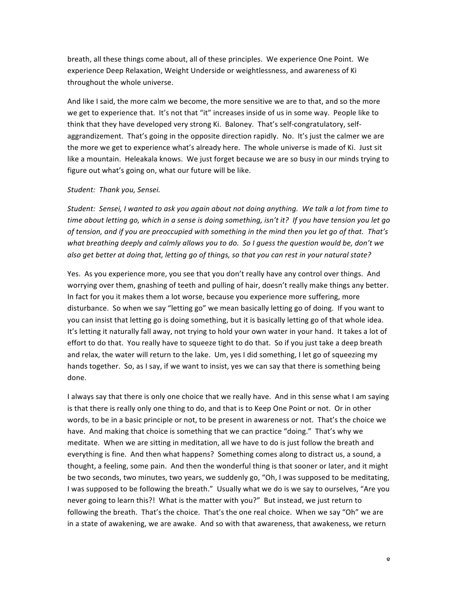breath, all these things come about, all of these principles. We experience One Point. We experience Deep Relaxation, Weight Underside or weightlessness, and awareness of Ki throughout the whole universe.

And like I said, the more calm we become, the more sensitive we are to that, and so the more we get to experience that. It's not that "it" increases inside of us in some way. People like to think that they have developed very strong Ki. Baloney. That's self-congratulatory, selfaggrandizement. That's going in the opposite direction rapidly. No. It's just the calmer we are the more we get to experience what's already here. The whole universe is made of Ki. Just sit like a mountain. Heleakala knows. We just forget because we are so busy in our minds trying to figure out what's going on, what our future will be like.

#### *Student: Thank you, Sensei.*

Student: Sensei, I wanted to ask you again about not doing anything. We talk a lot from time to *time* about letting go, which in a sense is doing something, isn't it? If you have tension you let go of tension, and if you are preoccupied with something in the mind then you let go of that. That's what breathing deeply and calmly allows you to do. So I quess the question would be, don't we also get better at doing that, letting go of things, so that you can rest in your natural state?

Yes. As you experience more, you see that you don't really have any control over things. And worrying over them, gnashing of teeth and pulling of hair, doesn't really make things any better. In fact for you it makes them a lot worse, because you experience more suffering, more disturbance. So when we say "letting go" we mean basically letting go of doing. If you want to you can insist that letting go is doing something, but it is basically letting go of that whole idea. It's letting it naturally fall away, not trying to hold your own water in your hand. It takes a lot of effort to do that. You really have to squeeze tight to do that. So if you just take a deep breath and relax, the water will return to the lake. Um, yes I did something, I let go of squeezing my hands together. So, as I say, if we want to insist, yes we can say that there is something being done.

I always say that there is only one choice that we really have. And in this sense what I am saying is that there is really only one thing to do, and that is to Keep One Point or not. Or in other words, to be in a basic principle or not, to be present in awareness or not. That's the choice we have. And making that choice is something that we can practice "doing." That's why we meditate. When we are sitting in meditation, all we have to do is just follow the breath and everything is fine. And then what happens? Something comes along to distract us, a sound, a thought, a feeling, some pain. And then the wonderful thing is that sooner or later, and it might be two seconds, two minutes, two years, we suddenly go, "Oh, I was supposed to be meditating, I was supposed to be following the breath." Usually what we do is we say to ourselves, "Are you never going to learn this?! What is the matter with you?" But instead, we just return to following the breath. That's the choice. That's the one real choice. When we say "Oh" we are in a state of awakening, we are awake. And so with that awareness, that awakeness, we return